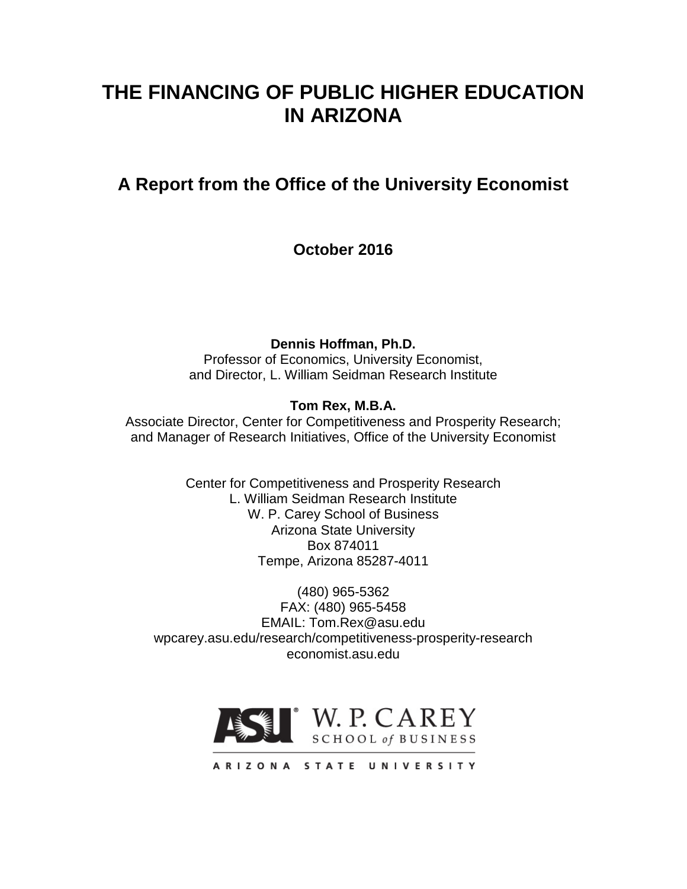# **THE FINANCING OF PUBLIC HIGHER EDUCATION IN ARIZONA**

# **A Report from the Office of the University Economist**

**October 2016**

**Dennis Hoffman, Ph.D.**

Professor of Economics, University Economist, and Director, L. William Seidman Research Institute

# **Tom Rex, M.B.A.**

Associate Director, Center for Competitiveness and Prosperity Research; and Manager of Research Initiatives, Office of the University Economist

> Center for Competitiveness and Prosperity Research L. William Seidman Research Institute W. P. Carey School of Business Arizona State University Box 874011 Tempe, Arizona 85287-4011

(480) 965-5362 FAX: (480) 965-5458 EMAIL: Tom.Rex@asu.edu wpcarey.asu.edu/research/competitiveness-prosperity-research economist.asu.edu



ARIZONA STATE UNIVERSITY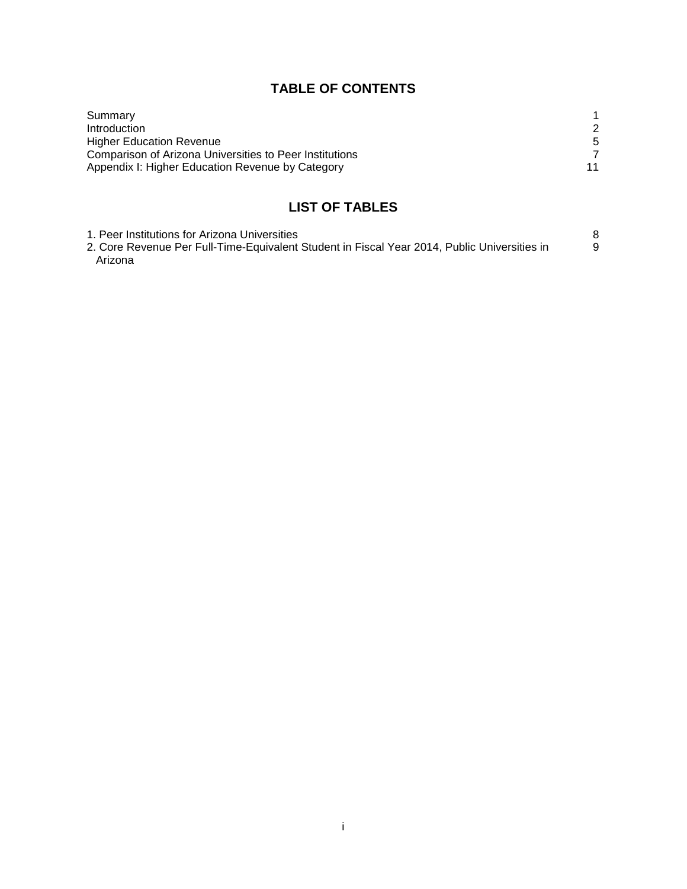# **TABLE OF CONTENTS**

| Summary                                                 |    |
|---------------------------------------------------------|----|
| Introduction                                            | 2  |
| <b>Higher Education Revenue</b>                         |    |
| Comparison of Arizona Universities to Peer Institutions |    |
| Appendix I: Higher Education Revenue by Category        | 11 |

# **LIST OF TABLES**

| 1. Peer Institutions for Arizona Universities                                                |  |
|----------------------------------------------------------------------------------------------|--|
| 2. Core Revenue Per Full-Time-Equivalent Student in Fiscal Year 2014, Public Universities in |  |
| Arizona                                                                                      |  |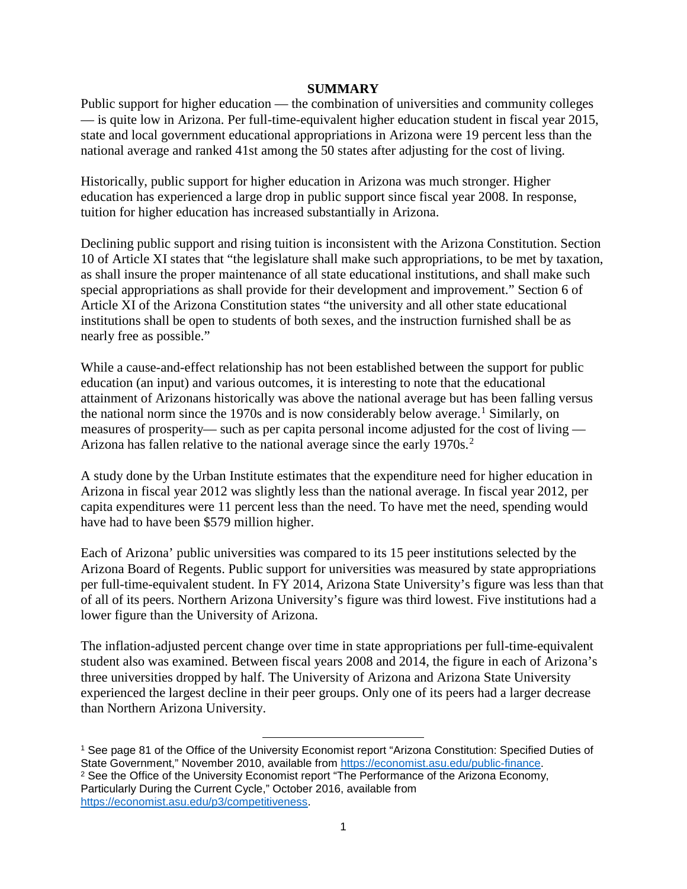## **SUMMARY**

Public support for higher education — the combination of universities and community colleges — is quite low in Arizona. Per full-time-equivalent higher education student in fiscal year 2015, state and local government educational appropriations in Arizona were 19 percent less than the national average and ranked 41st among the 50 states after adjusting for the cost of living.

Historically, public support for higher education in Arizona was much stronger. Higher education has experienced a large drop in public support since fiscal year 2008. In response, tuition for higher education has increased substantially in Arizona.

Declining public support and rising tuition is inconsistent with the Arizona Constitution. Section 10 of Article XI states that "the legislature shall make such appropriations, to be met by taxation, as shall insure the proper maintenance of all state educational institutions, and shall make such special appropriations as shall provide for their development and improvement." Section 6 of Article XI of the Arizona Constitution states "the university and all other state educational institutions shall be open to students of both sexes, and the instruction furnished shall be as nearly free as possible."

While a cause-and-effect relationship has not been established between the support for public education (an input) and various outcomes, it is interesting to note that the educational attainment of Arizonans historically was above the national average but has been falling versus the national norm since the [1](#page-2-0)970s and is now considerably below average.<sup>1</sup> Similarly, on measures of prosperity— such as per capita personal income adjusted for the cost of living — Arizona has fallen relative to the national average since the early 1970s.<sup>[2](#page-2-1)</sup>

A study done by the Urban Institute estimates that the expenditure need for higher education in Arizona in fiscal year 2012 was slightly less than the national average. In fiscal year 2012, per capita expenditures were 11 percent less than the need. To have met the need, spending would have had to have been \$579 million higher.

Each of Arizona' public universities was compared to its 15 peer institutions selected by the Arizona Board of Regents. Public support for universities was measured by state appropriations per full-time-equivalent student. In FY 2014, Arizona State University's figure was less than that of all of its peers. Northern Arizona University's figure was third lowest. Five institutions had a lower figure than the University of Arizona.

The inflation-adjusted percent change over time in state appropriations per full-time-equivalent student also was examined. Between fiscal years 2008 and 2014, the figure in each of Arizona's three universities dropped by half. The University of Arizona and Arizona State University experienced the largest decline in their peer groups. Only one of its peers had a larger decrease than Northern Arizona University.

<span id="page-2-1"></span><span id="page-2-0"></span><sup>1</sup> See page 81 of the Office of the University Economist report "Arizona Constitution: Specified Duties of State Government," November 2010, available from [https://economist.asu.edu/public-finance.](https://economist.asu.edu/public-finance) <sup>2</sup> See the Office of the University Economist report "The Performance of the Arizona Economy, Particularly During the Current Cycle," October 2016, available from [https://economist.asu.edu/p3/competitiveness.](https://economist.asu.edu/p3/competitiveness)

 $\overline{\phantom{a}}$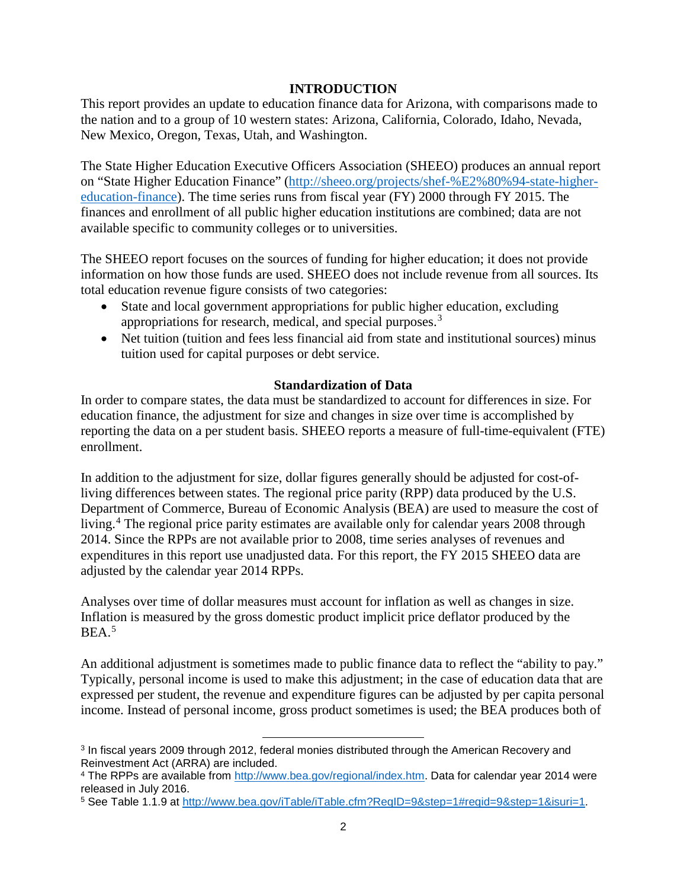# **INTRODUCTION**

This report provides an update to education finance data for Arizona, with comparisons made to the nation and to a group of 10 western states: Arizona, California, Colorado, Idaho, Nevada, New Mexico, Oregon, Texas, Utah, and Washington.

The State Higher Education Executive Officers Association (SHEEO) produces an annual report on "State Higher Education Finance" [\(http://sheeo.org/projects/shef-%E2%80%94-state-higher](http://sheeo.org/projects/shef-%E2%80%94-state-higher-education-finance)[education-finance\)](http://sheeo.org/projects/shef-%E2%80%94-state-higher-education-finance). The time series runs from fiscal year (FY) 2000 through FY 2015. The finances and enrollment of all public higher education institutions are combined; data are not available specific to community colleges or to universities.

The SHEEO report focuses on the sources of funding for higher education; it does not provide information on how those funds are used. SHEEO does not include revenue from all sources. Its total education revenue figure consists of two categories:

- State and local government appropriations for public higher education, excluding appropriations for research, medical, and special purposes.<sup>[3](#page-3-0)</sup>
- Net tuition (tuition and fees less financial aid from state and institutional sources) minus tuition used for capital purposes or debt service.

## **Standardization of Data**

In order to compare states, the data must be standardized to account for differences in size. For education finance, the adjustment for size and changes in size over time is accomplished by reporting the data on a per student basis. SHEEO reports a measure of full-time-equivalent (FTE) enrollment.

In addition to the adjustment for size, dollar figures generally should be adjusted for cost-ofliving differences between states. The regional price parity (RPP) data produced by the U.S. Department of Commerce, Bureau of Economic Analysis (BEA) are used to measure the cost of living. [4](#page-3-1) The regional price parity estimates are available only for calendar years 2008 through 2014. Since the RPPs are not available prior to 2008, time series analyses of revenues and expenditures in this report use unadjusted data. For this report, the FY 2015 SHEEO data are adjusted by the calendar year 2014 RPPs.

Analyses over time of dollar measures must account for inflation as well as changes in size. Inflation is measured by the gross domestic product implicit price deflator produced by the  $BEA.<sup>5</sup>$  $BEA.<sup>5</sup>$  $BEA.<sup>5</sup>$ 

An additional adjustment is sometimes made to public finance data to reflect the "ability to pay." Typically, personal income is used to make this adjustment; in the case of education data that are expressed per student, the revenue and expenditure figures can be adjusted by per capita personal income. Instead of personal income, gross product sometimes is used; the BEA produces both of

 $\overline{\phantom{a}}$ 

<span id="page-3-0"></span><sup>3</sup> In fiscal years 2009 through 2012, federal monies distributed through the American Recovery and Reinvestment Act (ARRA) are included.

<span id="page-3-1"></span><sup>4</sup> The RPPs are available from [http://www.bea.gov/regional/index.htm.](http://www.bea.gov/regional/index.htm) Data for calendar year 2014 were released in July 2016.

<span id="page-3-2"></span><sup>5</sup> See Table 1.1.9 at [http://www.bea.gov/iTable/iTable.cfm?ReqID=9&step=1#reqid=9&step=1&isuri=1.](http://www.bea.gov/iTable/iTable.cfm?ReqID=9&step=1#reqid=9&step=1&isuri=1)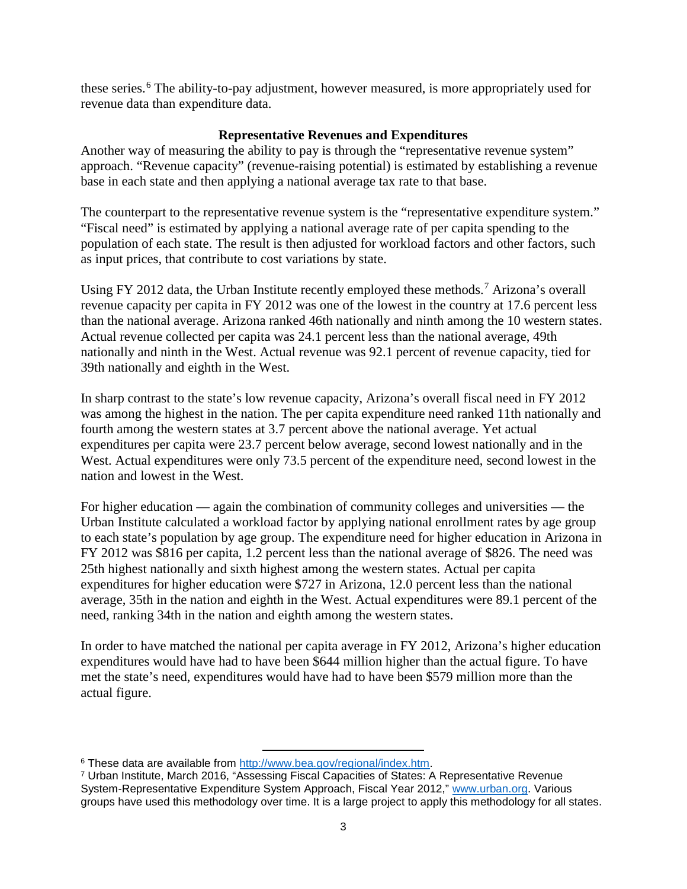these series.<sup>[6](#page-4-0)</sup> The ability-to-pay adjustment, however measured, is more appropriately used for revenue data than expenditure data.

# **Representative Revenues and Expenditures**

Another way of measuring the ability to pay is through the "representative revenue system" approach. "Revenue capacity" (revenue-raising potential) is estimated by establishing a revenue base in each state and then applying a national average tax rate to that base.

The counterpart to the representative revenue system is the "representative expenditure system." "Fiscal need" is estimated by applying a national average rate of per capita spending to the population of each state. The result is then adjusted for workload factors and other factors, such as input prices, that contribute to cost variations by state.

Using FY 2012 data, the Urban Institute recently employed these methods.<sup>[7](#page-4-1)</sup> Arizona's overall revenue capacity per capita in FY 2012 was one of the lowest in the country at 17.6 percent less than the national average. Arizona ranked 46th nationally and ninth among the 10 western states. Actual revenue collected per capita was 24.1 percent less than the national average, 49th nationally and ninth in the West. Actual revenue was 92.1 percent of revenue capacity, tied for 39th nationally and eighth in the West.

In sharp contrast to the state's low revenue capacity, Arizona's overall fiscal need in FY 2012 was among the highest in the nation. The per capita expenditure need ranked 11th nationally and fourth among the western states at 3.7 percent above the national average. Yet actual expenditures per capita were 23.7 percent below average, second lowest nationally and in the West. Actual expenditures were only 73.5 percent of the expenditure need, second lowest in the nation and lowest in the West.

For higher education — again the combination of community colleges and universities — the Urban Institute calculated a workload factor by applying national enrollment rates by age group to each state's population by age group. The expenditure need for higher education in Arizona in FY 2012 was \$816 per capita, 1.2 percent less than the national average of \$826. The need was 25th highest nationally and sixth highest among the western states. Actual per capita expenditures for higher education were \$727 in Arizona, 12.0 percent less than the national average, 35th in the nation and eighth in the West. Actual expenditures were 89.1 percent of the need, ranking 34th in the nation and eighth among the western states.

In order to have matched the national per capita average in FY 2012, Arizona's higher education expenditures would have had to have been \$644 million higher than the actual figure. To have met the state's need, expenditures would have had to have been \$579 million more than the actual figure.

l <sup>6</sup> These data are available from [http://www.bea.gov/regional/index.htm.](http://www.bea.gov/regional/index.htm)

<span id="page-4-1"></span><span id="page-4-0"></span><sup>7</sup> Urban Institute, March 2016, "Assessing Fiscal Capacities of States: A Representative Revenue System-Representative Expenditure System Approach, Fiscal Year 2012," [www.urban.org.](http://www.urban.org/) Various groups have used this methodology over time. It is a large project to apply this methodology for all states.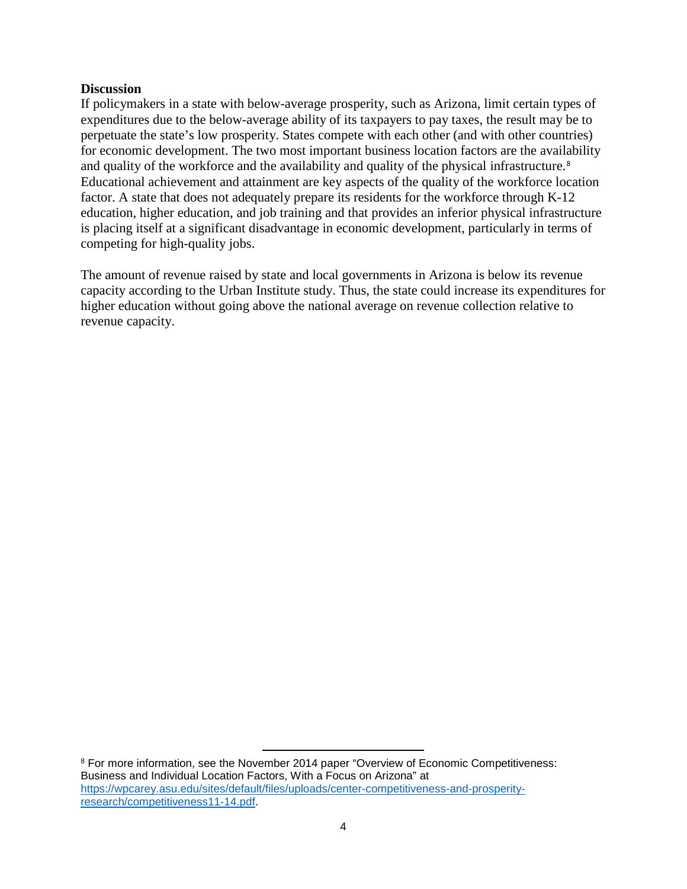## **Discussion**

If policymakers in a state with below-average prosperity, such as Arizona, limit certain types of expenditures due to the below-average ability of its taxpayers to pay taxes, the result may be to perpetuate the state's low prosperity. States compete with each other (and with other countries) for economic development. The two most important business location factors are the availability and quality of the workforce and the availability and quality of the physical infrastructure.<sup>[8](#page-5-0)</sup> Educational achievement and attainment are key aspects of the quality of the workforce location factor. A state that does not adequately prepare its residents for the workforce through K-12 education, higher education, and job training and that provides an inferior physical infrastructure is placing itself at a significant disadvantage in economic development, particularly in terms of competing for high-quality jobs.

The amount of revenue raised by state and local governments in Arizona is below its revenue capacity according to the Urban Institute study. Thus, the state could increase its expenditures for higher education without going above the national average on revenue collection relative to revenue capacity.

<span id="page-5-0"></span><sup>8</sup> For more information, see the November 2014 paper "Overview of Economic Competitiveness: Business and Individual Location Factors, With a Focus on Arizona" at [https://wpcarey.asu.edu/sites/default/files/uploads/center-competitiveness-and-prosperity](https://wpcarey.asu.edu/sites/default/files/uploads/center-competitiveness-and-prosperity-research/competitiveness11-14.pdf)[research/competitiveness11-14.pdf.](https://wpcarey.asu.edu/sites/default/files/uploads/center-competitiveness-and-prosperity-research/competitiveness11-14.pdf)

l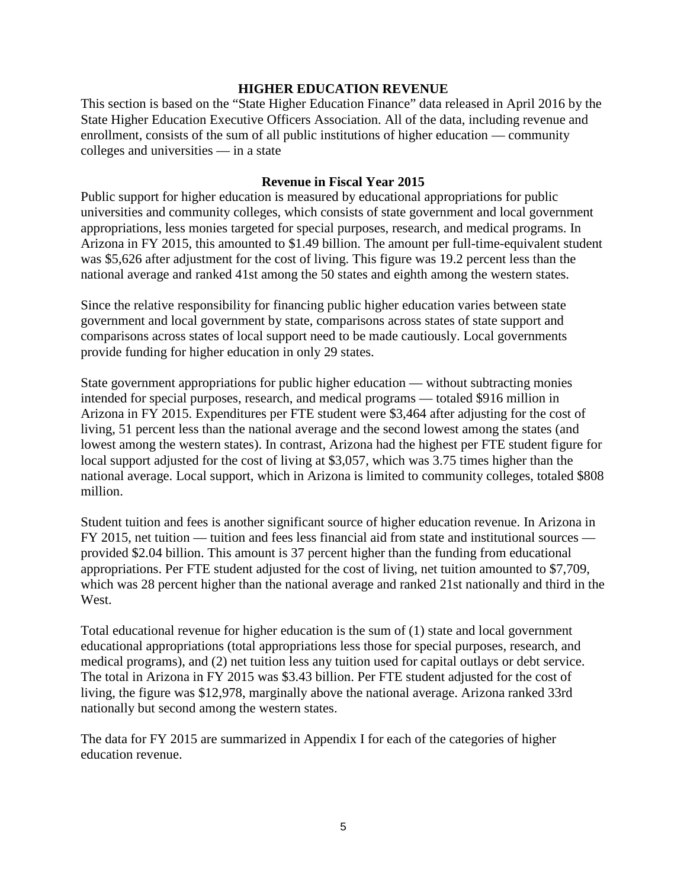## **HIGHER EDUCATION REVENUE**

This section is based on the "State Higher Education Finance" data released in April 2016 by the State Higher Education Executive Officers Association. All of the data, including revenue and enrollment, consists of the sum of all public institutions of higher education — community colleges and universities — in a state

## **Revenue in Fiscal Year 2015**

Public support for higher education is measured by educational appropriations for public universities and community colleges, which consists of state government and local government appropriations, less monies targeted for special purposes, research, and medical programs. In Arizona in FY 2015, this amounted to \$1.49 billion. The amount per full-time-equivalent student was \$5,626 after adjustment for the cost of living. This figure was 19.2 percent less than the national average and ranked 41st among the 50 states and eighth among the western states.

Since the relative responsibility for financing public higher education varies between state government and local government by state, comparisons across states of state support and comparisons across states of local support need to be made cautiously. Local governments provide funding for higher education in only 29 states.

State government appropriations for public higher education — without subtracting monies intended for special purposes, research, and medical programs — totaled \$916 million in Arizona in FY 2015. Expenditures per FTE student were \$3,464 after adjusting for the cost of living, 51 percent less than the national average and the second lowest among the states (and lowest among the western states). In contrast, Arizona had the highest per FTE student figure for local support adjusted for the cost of living at \$3,057, which was 3.75 times higher than the national average. Local support, which in Arizona is limited to community colleges, totaled \$808 million.

Student tuition and fees is another significant source of higher education revenue. In Arizona in FY 2015, net tuition — tuition and fees less financial aid from state and institutional sources provided \$2.04 billion. This amount is 37 percent higher than the funding from educational appropriations. Per FTE student adjusted for the cost of living, net tuition amounted to \$7,709, which was 28 percent higher than the national average and ranked 21st nationally and third in the West.

Total educational revenue for higher education is the sum of (1) state and local government educational appropriations (total appropriations less those for special purposes, research, and medical programs), and (2) net tuition less any tuition used for capital outlays or debt service. The total in Arizona in FY 2015 was \$3.43 billion. Per FTE student adjusted for the cost of living, the figure was \$12,978, marginally above the national average. Arizona ranked 33rd nationally but second among the western states.

The data for FY 2015 are summarized in Appendix I for each of the categories of higher education revenue.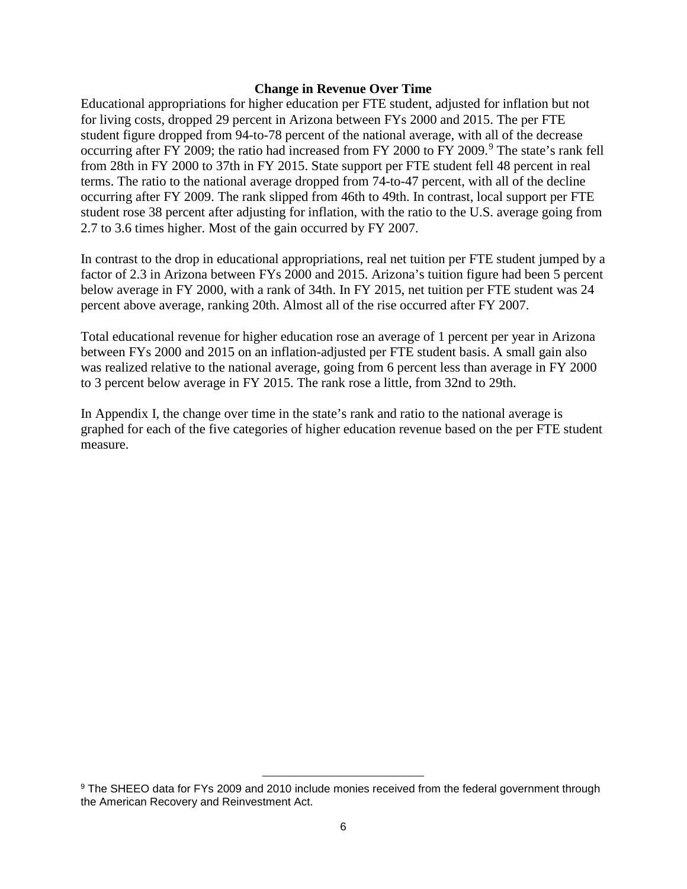#### **Change in Revenue Over Time**

Educational appropriations for higher education per FTE student, adjusted for inflation but not for living costs, dropped 29 percent in Arizona between FYs 2000 and 2015. The per FTE student figure dropped from 94-to-78 percent of the national average, with all of the decrease occurring after FY 200[9](#page-7-0); the ratio had increased from FY 2000 to FY 2009.<sup>9</sup> The state's rank fell from 28th in FY 2000 to 37th in FY 2015. State support per FTE student fell 48 percent in real terms. The ratio to the national average dropped from 74-to-47 percent, with all of the decline occurring after FY 2009. The rank slipped from 46th to 49th. In contrast, local support per FTE student rose 38 percent after adjusting for inflation, with the ratio to the U.S. average going from 2.7 to 3.6 times higher. Most of the gain occurred by FY 2007.

In contrast to the drop in educational appropriations, real net tuition per FTE student jumped by a factor of 2.3 in Arizona between FYs 2000 and 2015. Arizona's tuition figure had been 5 percent below average in FY 2000, with a rank of 34th. In FY 2015, net tuition per FTE student was 24 percent above average, ranking 20th. Almost all of the rise occurred after FY 2007.

Total educational revenue for higher education rose an average of 1 percent per year in Arizona between FYs 2000 and 2015 on an inflation-adjusted per FTE student basis. A small gain also was realized relative to the national average, going from 6 percent less than average in FY 2000 to 3 percent below average in FY 2015. The rank rose a little, from 32nd to 29th.

In Appendix I, the change over time in the state's rank and ratio to the national average is graphed for each of the five categories of higher education revenue based on the per FTE student measure.

l

<span id="page-7-0"></span><sup>&</sup>lt;sup>9</sup> The SHEEO data for FYs 2009 and 2010 include monies received from the federal government through the American Recovery and Reinvestment Act.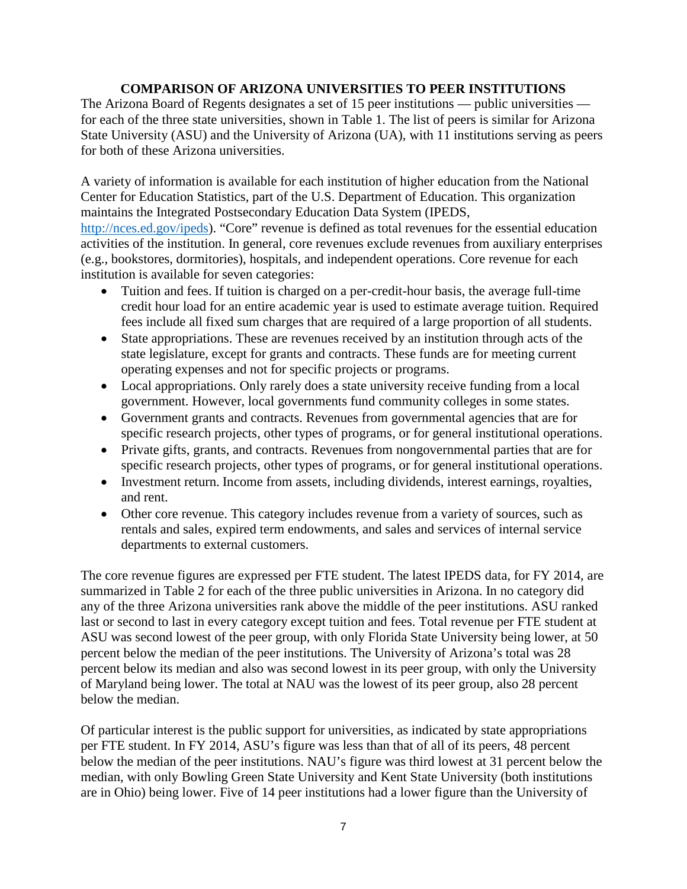# **COMPARISON OF ARIZONA UNIVERSITIES TO PEER INSTITUTIONS**

The Arizona Board of Regents designates a set of 15 peer institutions — public universities for each of the three state universities, shown in Table 1. The list of peers is similar for Arizona State University (ASU) and the University of Arizona (UA), with 11 institutions serving as peers for both of these Arizona universities.

A variety of information is available for each institution of higher education from the National Center for Education Statistics, part of the U.S. Department of Education. This organization maintains the Integrated Postsecondary Education Data System (IPEDS,

[http://nces.ed.gov/ipeds\)](http://nces.ed.gov/ipeds). "Core" revenue is defined as total revenues for the essential education activities of the institution. In general, core revenues exclude revenues from auxiliary enterprises (e.g., bookstores, dormitories), hospitals, and independent operations. Core revenue for each institution is available for seven categories:

- Tuition and fees. If tuition is charged on a per-credit-hour basis, the average full-time credit hour load for an entire academic year is used to estimate average tuition. Required fees include all fixed sum charges that are required of a large proportion of all students.
- State appropriations. These are revenues received by an institution through acts of the state legislature, except for grants and contracts. These funds are for meeting current operating expenses and not for specific projects or programs.
- Local appropriations. Only rarely does a state university receive funding from a local government. However, local governments fund community colleges in some states.
- Government grants and contracts. Revenues from governmental agencies that are for specific research projects, other types of programs, or for general institutional operations.
- Private gifts, grants, and contracts. Revenues from nongovernmental parties that are for specific research projects, other types of programs, or for general institutional operations.
- Investment return. Income from assets, including dividends, interest earnings, royalties, and rent.
- Other core revenue. This category includes revenue from a variety of sources, such as rentals and sales, expired term endowments, and sales and services of internal service departments to external customers.

The core revenue figures are expressed per FTE student. The latest IPEDS data, for FY 2014, are summarized in Table 2 for each of the three public universities in Arizona. In no category did any of the three Arizona universities rank above the middle of the peer institutions. ASU ranked last or second to last in every category except tuition and fees. Total revenue per FTE student at ASU was second lowest of the peer group, with only Florida State University being lower, at 50 percent below the median of the peer institutions. The University of Arizona's total was 28 percent below its median and also was second lowest in its peer group, with only the University of Maryland being lower. The total at NAU was the lowest of its peer group, also 28 percent below the median.

Of particular interest is the public support for universities, as indicated by state appropriations per FTE student. In FY 2014, ASU's figure was less than that of all of its peers, 48 percent below the median of the peer institutions. NAU's figure was third lowest at 31 percent below the median, with only Bowling Green State University and Kent State University (both institutions are in Ohio) being lower. Five of 14 peer institutions had a lower figure than the University of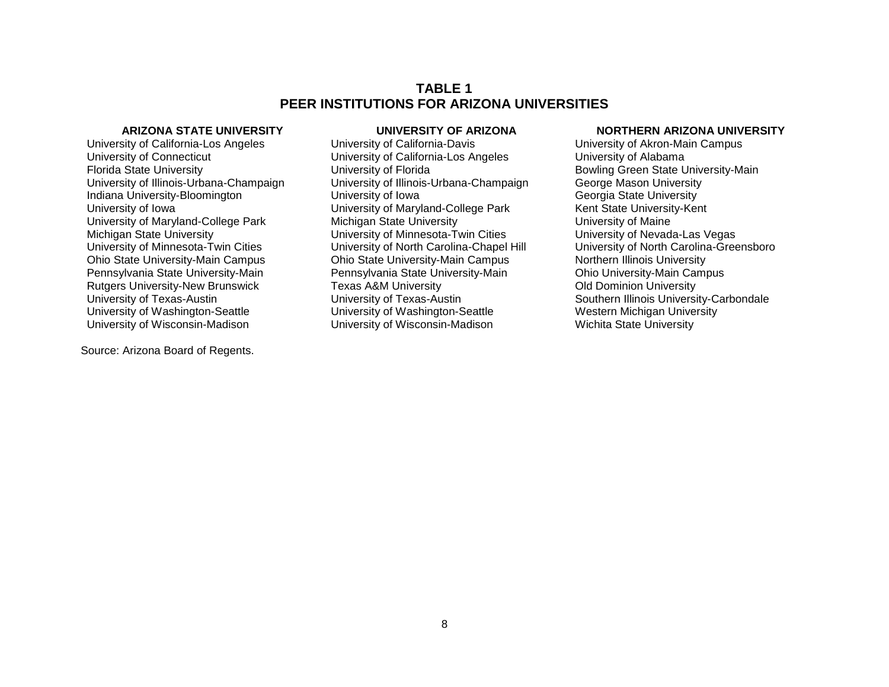## **TABLE 1 PEER INSTITUTIONS FOR ARIZONA UNIVERSITIES**

University of California-Los Angeles **University of California-Davis** University of Akron-Main Campus<br>
University of Connecticut University of California-Los Angeles University of Alabama University of Connecticut University of California-Los Angeles<br>
Florida State University Connecticut Connection Connective of Florida Indiana University-Bloomington University of Iowa Rutgers University-New Brunswick

Source: Arizona Board of Regents.

Florida State University This external Articles Champaign<br>
University of Florida<br>
University of Illinois-Urbana-Champaign<br>
George Mason University University of Illinois-Urbana-Champaign George Mason University<br>University of Iowa<br>Georgia State University University of Iowa<br>
University of Maryland-College Park University of Maryland-College Park Chriversity of Maine<br>
University of Maine<br>
University of Maine University of Maryland-College Park Michigan State University<br>Michigan State University University of Minnesota-Twin Cities Chiversity of Nevada-Las Vegas Michigan State University <br>
University of Minnesota-Twin Cities 
University of North Carolina-Chapel Hill<br>
University of North Carolina-Chapel Hill Ohio State University-Main Campus **Ohio State University-Main Campus Northern Illinois University**<br>
Pennsylvania State University-Main **Northern Illinois University-Main**<br>
Pennsylvania State University-Main Campus Pennsylvania State University-Main Pennsylvania State University-Main Campus Chio University-Main Camerican Campus Chio University-Main Campus Chio University-Main Campus Chio University-Main Campus Chio University University of Texas-Austin **University of Texas-Austin** Southern Illinois University-Carbondale<br>
University of Washington-Seattle Surversity of Washington-Seattle Surversity of Western Michigan University University of Washington-Seattle **University of Washington-Seattle** Western Michigan University of Wisconsin-Madison<br>University of Wisconsin-Madison University of Wisconsin-Madison Wichita State University University of Wisconsin-Madison

#### **ARIZONA STATE UNIVERSITY UNIVERSITY OF ARIZONA NORTHERN ARIZONA UNIVERSITY**

University of North Carolina-Greensboro<br>Northern Illinois University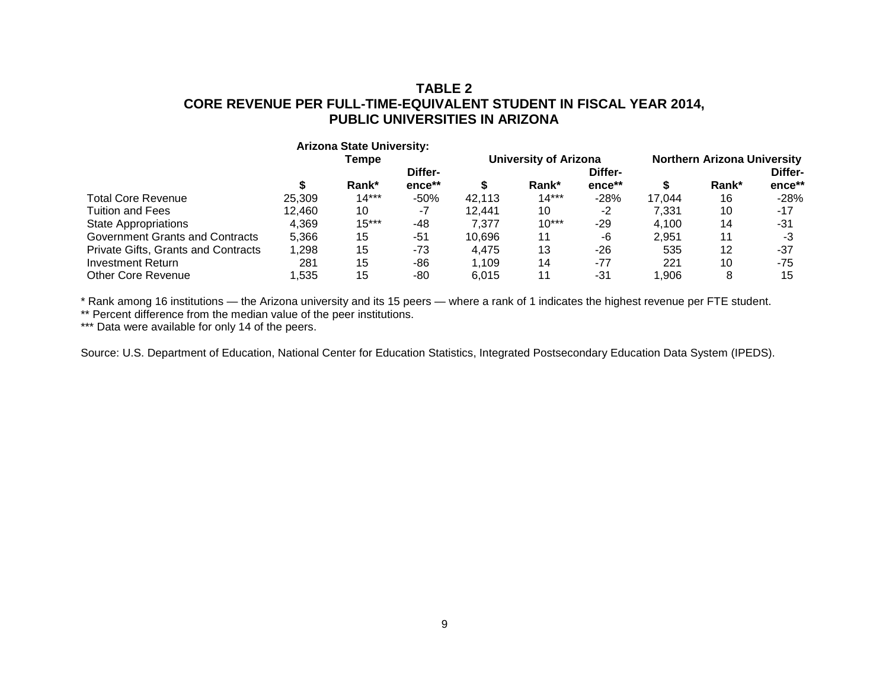# **TABLE 2 CORE REVENUE PER FULL-TIME-EQUIVALENT STUDENT IN FISCAL YEAR 2014, PUBLIC UNIVERSITIES IN ARIZONA**

|                                     |         | <b>Arizona State University:</b> |        |                              |         |        |                                    |       |        |
|-------------------------------------|---------|----------------------------------|--------|------------------------------|---------|--------|------------------------------------|-------|--------|
|                                     | Tempe   |                                  |        | <b>University of Arizona</b> |         |        | <b>Northern Arizona University</b> |       |        |
|                                     | Differ- |                                  |        | Differ-                      |         |        |                                    |       |        |
|                                     |         | Rank*                            | ence** |                              | Rank*   | ence** | S                                  | Rank* | ence** |
| <b>Total Core Revenue</b>           | 25.309  | $14***$                          | $-50%$ | 42.113                       | $14***$ | $-28%$ | 17.044                             | 16    | $-28%$ |
| <b>Tuition and Fees</b>             | 12.460  | 10                               | -7     | 12.441                       | 10      | $-2$   | 7.331                              | 10    | $-17$  |
| <b>State Appropriations</b>         | 4.369   | $15***$                          | -48    | 7.377                        | $10***$ | $-29$  | 4.100                              | 14    | -31    |
| Government Grants and Contracts     | 5.366   | 15                               | $-51$  | 10.696                       | 11      | -6     | 2.951                              | 11    | -3     |
| Private Gifts, Grants and Contracts | 1,298   | 15                               | $-73$  | 4.475                        | 13      | $-26$  | 535                                | 12    | -37    |
| Investment Return                   | 281     | 15                               | -86    | 1.109                        | 14      | $-77$  | 221                                | 10    | -75    |
| Other Core Revenue                  | ,535    | 15                               | -80    | 6.015                        | 11      | -31    | 1.906                              |       | 15     |

\* Rank among 16 institutions — the Arizona university and its 15 peers — where a rank of 1 indicates the highest revenue per FTE student.

\*\* Percent difference from the median value of the peer institutions.

\*\*\* Data were available for only 14 of the peers.

Source: U.S. Department of Education, National Center for Education Statistics, Integrated Postsecondary Education Data System (IPEDS).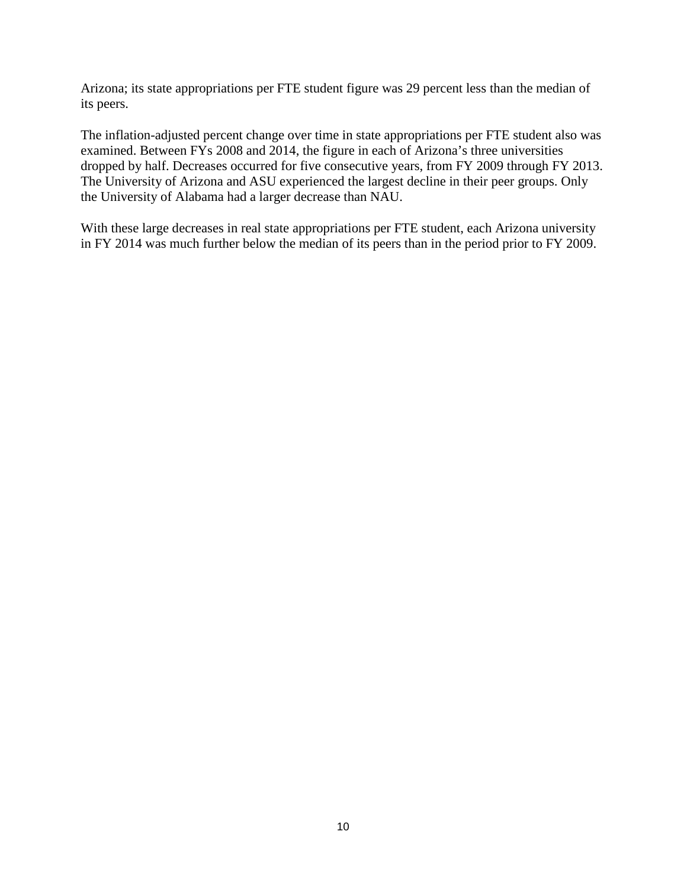Arizona; its state appropriations per FTE student figure was 29 percent less than the median of its peers.

The inflation-adjusted percent change over time in state appropriations per FTE student also was examined. Between FYs 2008 and 2014, the figure in each of Arizona's three universities dropped by half. Decreases occurred for five consecutive years, from FY 2009 through FY 2013. The University of Arizona and ASU experienced the largest decline in their peer groups. Only the University of Alabama had a larger decrease than NAU.

With these large decreases in real state appropriations per FTE student, each Arizona university in FY 2014 was much further below the median of its peers than in the period prior to FY 2009.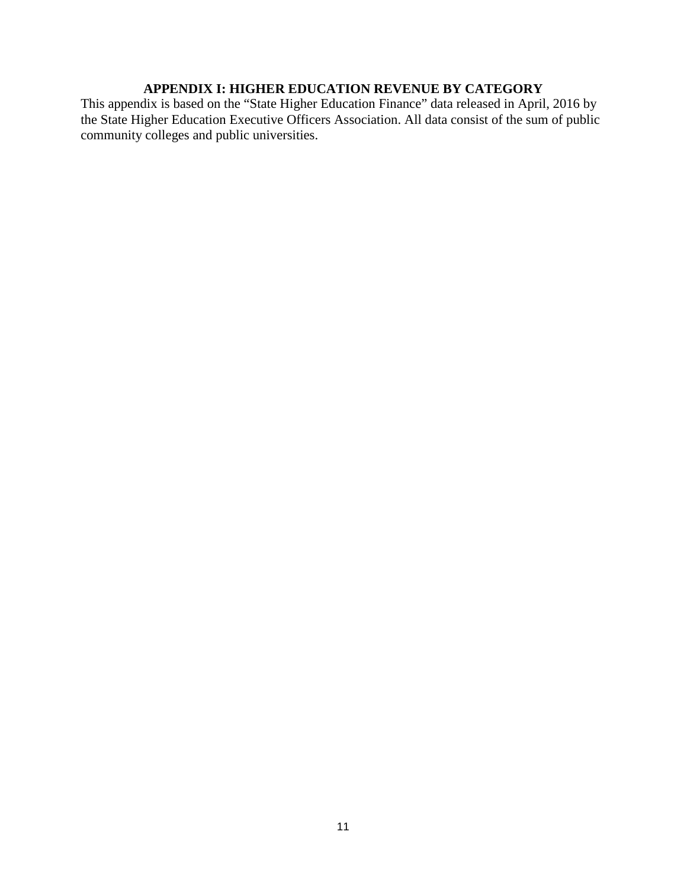# **APPENDIX I: HIGHER EDUCATION REVENUE BY CATEGORY**

This appendix is based on the "State Higher Education Finance" data released in April, 2016 by the State Higher Education Executive Officers Association. All data consist of the sum of public community colleges and public universities.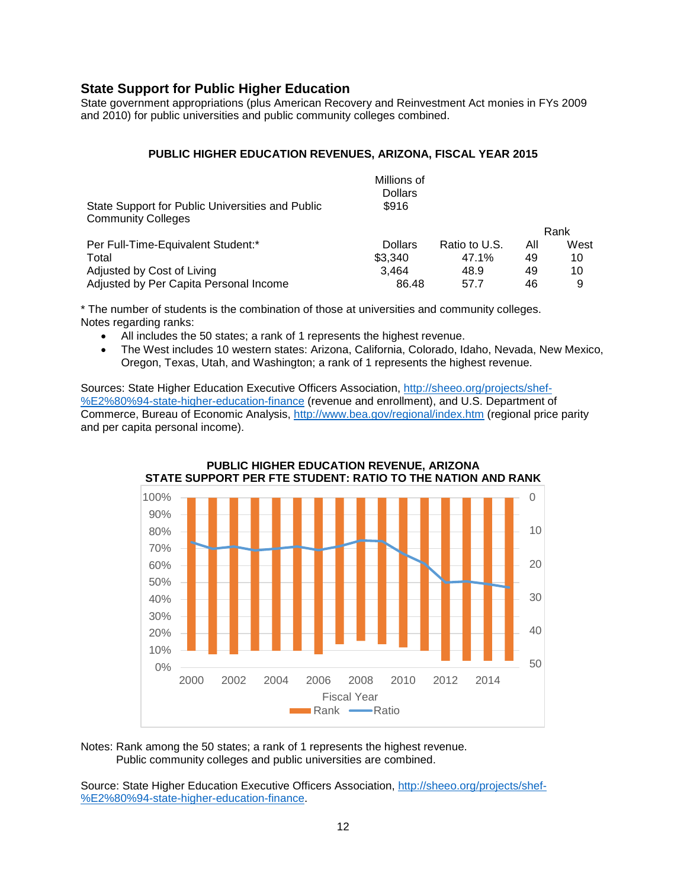# **State Support for Public Higher Education**

State government appropriations (plus American Recovery and Reinvestment Act monies in FYs 2009 and 2010) for public universities and public community colleges combined.

#### **PUBLIC HIGHER EDUCATION REVENUES, ARIZONA, FISCAL YEAR 2015**

|                                                                               | Millions of<br><b>Dollars</b> |               |     |      |
|-------------------------------------------------------------------------------|-------------------------------|---------------|-----|------|
| State Support for Public Universities and Public<br><b>Community Colleges</b> | \$916                         |               |     |      |
|                                                                               |                               |               |     | Rank |
| Per Full-Time-Equivalent Student:*                                            | <b>Dollars</b>                | Ratio to U.S. | All | West |
| Total                                                                         | \$3.340                       | 47.1%         | 49  | 10   |
| Adjusted by Cost of Living                                                    | 3.464                         | 48.9          | 49  | 10   |
| Adjusted by Per Capita Personal Income                                        | 86.48                         | 57.7          | 46  | 9    |

\* The number of students is the combination of those at universities and community colleges. Notes regarding ranks:

- All includes the 50 states; a rank of 1 represents the highest revenue.
- The West includes 10 western states: Arizona, California, Colorado, Idaho, Nevada, New Mexico, Oregon, Texas, Utah, and Washington; a rank of 1 represents the highest revenue.

Sources: State Higher Education Executive Officers Association, [http://sheeo.org/projects/shef-](http://sheeo.org/projects/shef-%E2%80%94-state-higher-education-finance) [%E2%80%94-state-higher-education-finance](http://sheeo.org/projects/shef-%E2%80%94-state-higher-education-finance) (revenue and enrollment), and U.S. Department of Commerce, Bureau of Economic Analysis,<http://www.bea.gov/regional/index.htm> (regional price parity and per capita personal income).



# **PUBLIC HIGHER EDUCATION REVENUE, ARIZONA**

Notes: Rank among the 50 states; a rank of 1 represents the highest revenue. Public community colleges and public universities are combined.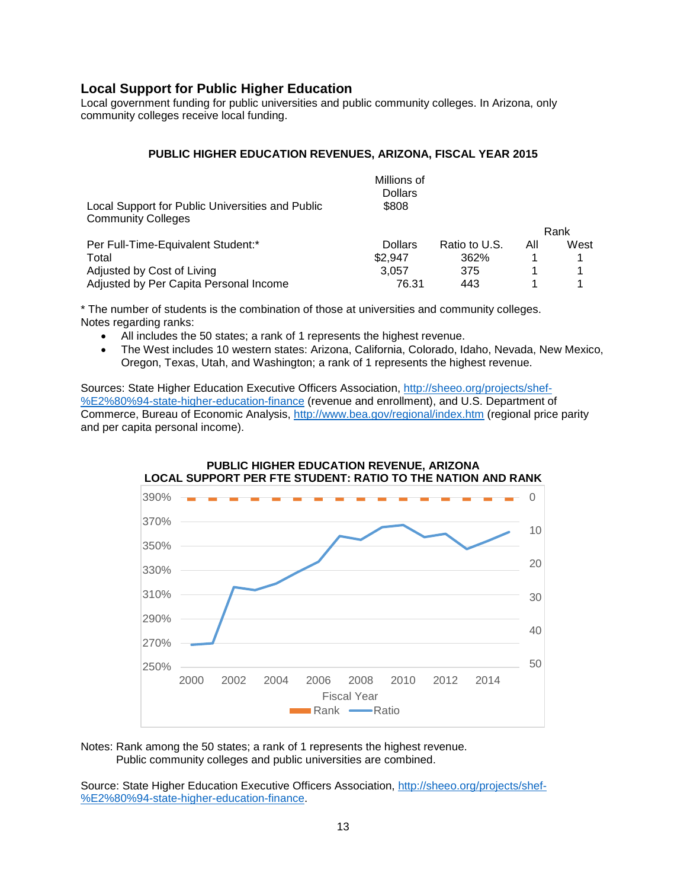# **Local Support for Public Higher Education**

Local government funding for public universities and public community colleges. In Arizona, only community colleges receive local funding.

#### **PUBLIC HIGHER EDUCATION REVENUES, ARIZONA, FISCAL YEAR 2015**

|                                                                               | Millions of<br><b>Dollars</b> |               |     |      |
|-------------------------------------------------------------------------------|-------------------------------|---------------|-----|------|
| Local Support for Public Universities and Public<br><b>Community Colleges</b> | \$808                         |               |     |      |
|                                                                               |                               |               |     | Rank |
| Per Full-Time-Equivalent Student:*                                            | <b>Dollars</b>                | Ratio to U.S. | All | West |
| Total                                                                         | \$2.947                       | 362%          |     |      |
| Adjusted by Cost of Living                                                    | 3.057                         | 375           |     |      |
| Adjusted by Per Capita Personal Income                                        | 76.31                         | 443           |     |      |

\* The number of students is the combination of those at universities and community colleges. Notes regarding ranks:

- All includes the 50 states; a rank of 1 represents the highest revenue.
- The West includes 10 western states: Arizona, California, Colorado, Idaho, Nevada, New Mexico, Oregon, Texas, Utah, and Washington; a rank of 1 represents the highest revenue.

Sources: State Higher Education Executive Officers Association, [http://sheeo.org/projects/shef-](http://sheeo.org/projects/shef-%E2%80%94-state-higher-education-finance) [%E2%80%94-state-higher-education-finance](http://sheeo.org/projects/shef-%E2%80%94-state-higher-education-finance) (revenue and enrollment), and U.S. Department of Commerce, Bureau of Economic Analysis,<http://www.bea.gov/regional/index.htm> (regional price parity and per capita personal income).



Notes: Rank among the 50 states; a rank of 1 represents the highest revenue. Public community colleges and public universities are combined.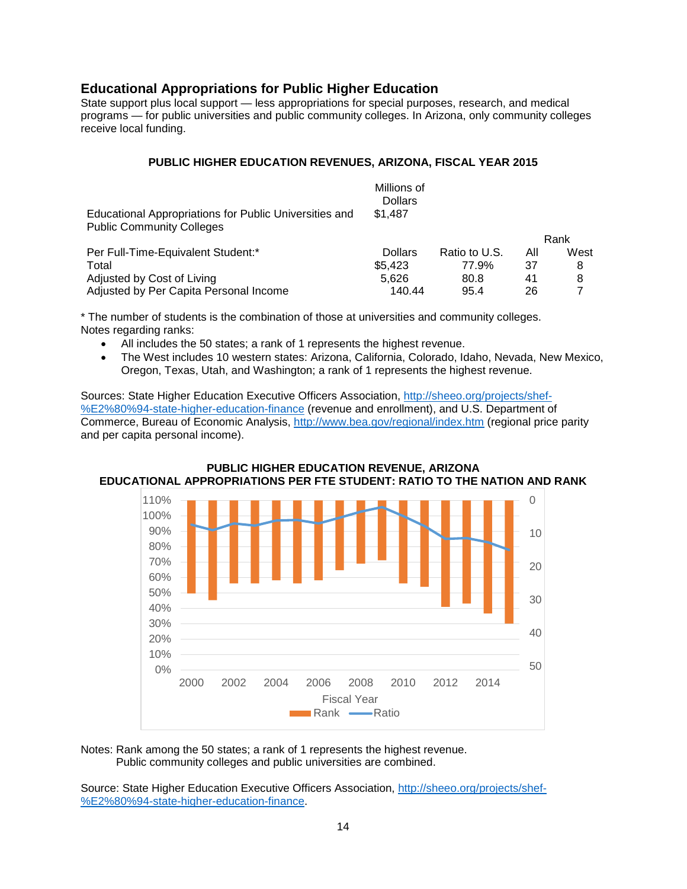# **Educational Appropriations for Public Higher Education**

State support plus local support — less appropriations for special purposes, research, and medical programs — for public universities and public community colleges. In Arizona, only community colleges receive local funding.

#### **PUBLIC HIGHER EDUCATION REVENUES, ARIZONA, FISCAL YEAR 2015**

|                                                                                            | Millions of<br><b>Dollars</b> |               |     |      |
|--------------------------------------------------------------------------------------------|-------------------------------|---------------|-----|------|
| Educational Appropriations for Public Universities and<br><b>Public Community Colleges</b> | \$1.487                       |               |     |      |
|                                                                                            |                               |               |     | Rank |
| Per Full-Time-Equivalent Student:*                                                         | <b>Dollars</b>                | Ratio to U.S. | All | West |
| Total                                                                                      | \$5,423                       | 77.9%         | 37  | 8    |
| Adjusted by Cost of Living                                                                 | 5.626                         | 80.8          | 41  | 8    |
| Adjusted by Per Capita Personal Income                                                     | 140.44                        | 95.4          | 26  |      |

\* The number of students is the combination of those at universities and community colleges. Notes regarding ranks:

- All includes the 50 states; a rank of 1 represents the highest revenue.
- The West includes 10 western states: Arizona, California, Colorado, Idaho, Nevada, New Mexico, Oregon, Texas, Utah, and Washington; a rank of 1 represents the highest revenue.

Sources: State Higher Education Executive Officers Association, [http://sheeo.org/projects/shef-](http://sheeo.org/projects/shef-%E2%80%94-state-higher-education-finance) [%E2%80%94-state-higher-education-finance](http://sheeo.org/projects/shef-%E2%80%94-state-higher-education-finance) (revenue and enrollment), and U.S. Department of Commerce, Bureau of Economic Analysis,<http://www.bea.gov/regional/index.htm> (regional price parity and per capita personal income).



#### **PUBLIC HIGHER EDUCATION REVENUE, ARIZONA EDUCATIONAL APPROPRIATIONS PER FTE STUDENT: RATIO TO THE NATION AND RANK**

Notes: Rank among the 50 states; a rank of 1 represents the highest revenue. Public community colleges and public universities are combined.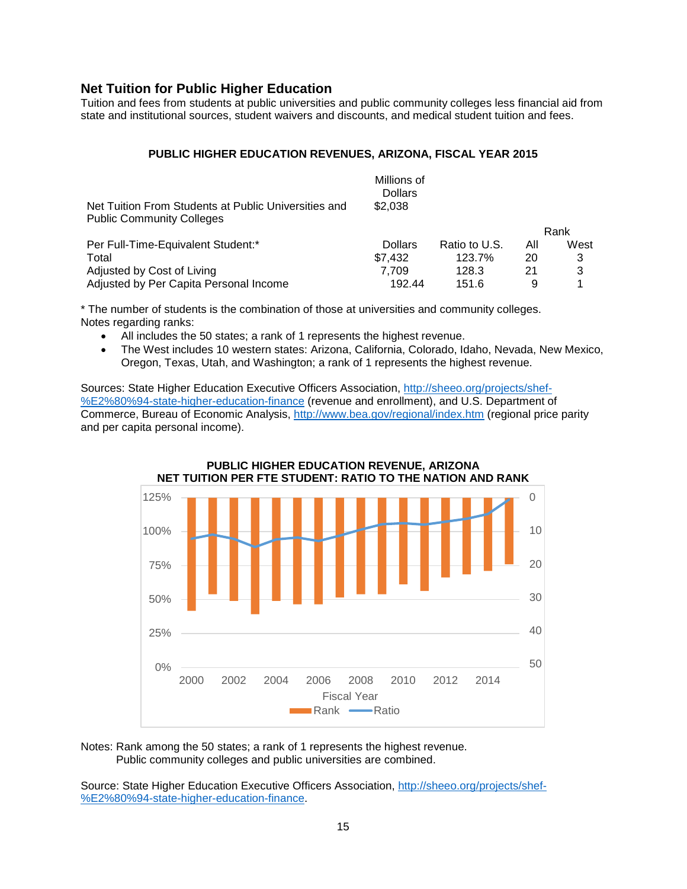# **Net Tuition for Public Higher Education**

Tuition and fees from students at public universities and public community colleges less financial aid from state and institutional sources, student waivers and discounts, and medical student tuition and fees.

#### **PUBLIC HIGHER EDUCATION REVENUES, ARIZONA, FISCAL YEAR 2015**

|                                                                                          | Millions of<br><b>Dollars</b> |               |     |      |
|------------------------------------------------------------------------------------------|-------------------------------|---------------|-----|------|
| Net Tuition From Students at Public Universities and<br><b>Public Community Colleges</b> | \$2.038                       |               |     |      |
|                                                                                          |                               |               |     | Rank |
| Per Full-Time-Equivalent Student:*                                                       | <b>Dollars</b>                | Ratio to U.S. | All | West |
| Total                                                                                    | \$7.432                       | 123.7%        | 20  | 3    |
| Adjusted by Cost of Living                                                               | 7.709                         | 128.3         | 21  | 3    |
| Adjusted by Per Capita Personal Income                                                   | 192.44                        | 151.6         | 9   |      |

\* The number of students is the combination of those at universities and community colleges. Notes regarding ranks:

- All includes the 50 states; a rank of 1 represents the highest revenue.
- The West includes 10 western states: Arizona, California, Colorado, Idaho, Nevada, New Mexico, Oregon, Texas, Utah, and Washington; a rank of 1 represents the highest revenue.

Sources: State Higher Education Executive Officers Association, [http://sheeo.org/projects/shef-](http://sheeo.org/projects/shef-%E2%80%94-state-higher-education-finance) [%E2%80%94-state-higher-education-finance](http://sheeo.org/projects/shef-%E2%80%94-state-higher-education-finance) (revenue and enrollment), and U.S. Department of Commerce, Bureau of Economic Analysis,<http://www.bea.gov/regional/index.htm> (regional price parity and per capita personal income).



Notes: Rank among the 50 states; a rank of 1 represents the highest revenue. Public community colleges and public universities are combined.